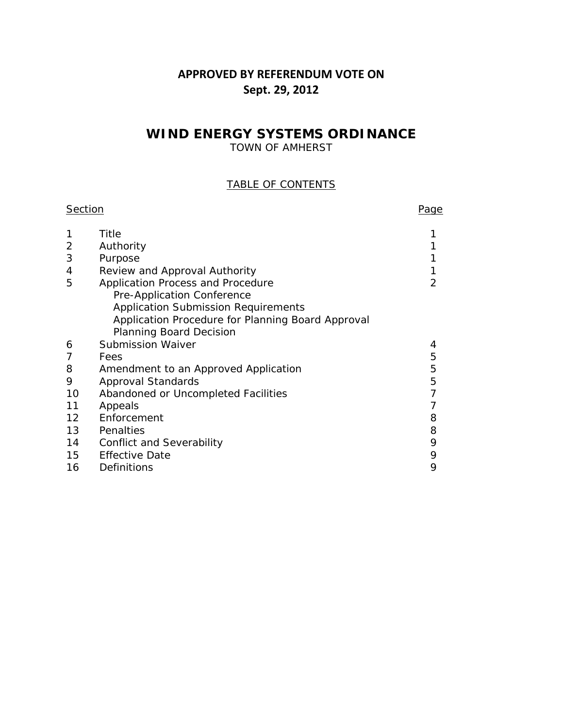### **APPROVED BY REFERENDUM VOTE ON Sept. 29, 2012**

## **WIND ENERGY SYSTEMS ORDINANCE**

TOWN OF AMHERST

### TABLE OF CONTENTS

| <b>Section</b> |                                                   | Page |
|----------------|---------------------------------------------------|------|
|                | Title                                             |      |
| 2              | Authority                                         |      |
| 3              | Purpose                                           |      |
| 4              | Review and Approval Authority                     |      |
| 5              | Application Process and Procedure                 | 2    |
|                | Pre-Application Conference                        |      |
|                | <b>Application Submission Requirements</b>        |      |
|                | Application Procedure for Planning Board Approval |      |
|                | <b>Planning Board Decision</b>                    |      |
| 6              | <b>Submission Waiver</b>                          | 4    |
| 7              | Fees                                              | 5    |
| 8              | Amendment to an Approved Application              | 5    |
| 9              | Approval Standards                                | 5    |
| 10             | Abandoned or Uncompleted Facilities               |      |
| 11             | Appeals                                           |      |
| 12             | Enforcement                                       | 8    |
| 13             | Penalties                                         | 8    |
| 14             | <b>Conflict and Severability</b>                  | 9    |
| 15             | <b>Effective Date</b>                             | 9    |
| 16             | Definitions                                       | 9    |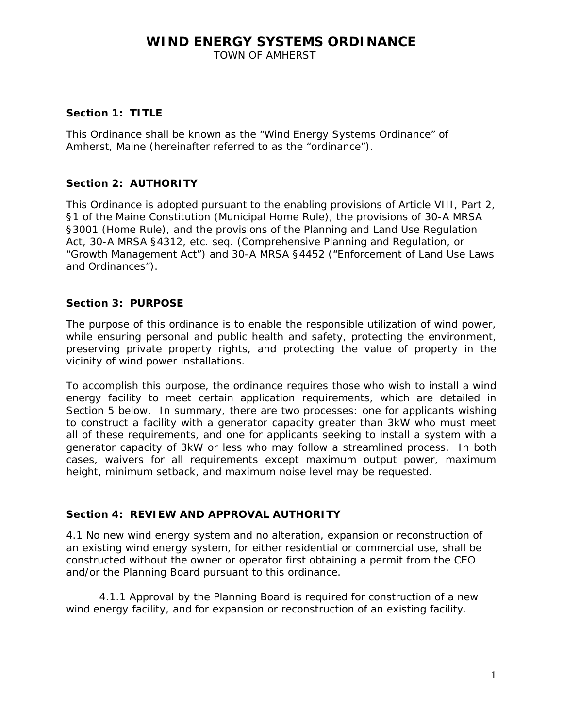TOWN OF AMHERST

#### **Section 1: TITLE**

This Ordinance shall be known as the "Wind Energy Systems Ordinance" of Amherst, Maine (hereinafter referred to as the "ordinance").

### **Section 2: AUTHORITY**

This Ordinance is adopted pursuant to the enabling provisions of Article VIII, Part 2, §1 of the Maine Constitution (Municipal Home Rule), the provisions of 30-A MRSA §3001 (Home Rule), and the provisions of the Planning and Land Use Regulation Act, 30-A MRSA §4312, etc. seq. (*Comprehensive Planning and Regulation, or "Growth Management Act*") and 30-A MRSA §4452 ("Enforcement of Land Use Laws and Ordinances").

#### **Section 3: PURPOSE**

The purpose of this ordinance is to enable the responsible utilization of wind power, while ensuring personal and public health and safety, protecting the environment, preserving private property rights, and protecting the value of property in the vicinity of wind power installations.

To accomplish this purpose, the ordinance requires those who wish to install a wind energy facility to meet certain application requirements, which are detailed in Section 5 below. In summary, there are two processes: one for applicants wishing to construct a facility with a generator capacity greater than 3kW who must meet all of these requirements, and one for applicants seeking to install a system with a generator capacity of 3kW or less who may follow a streamlined process. In both cases, waivers for all requirements except maximum output power, maximum height, minimum setback, and maximum noise level may be requested.

#### **Section 4: REVIEW AND APPROVAL AUTHORITY**

4.1 No new wind energy system and no alteration, expansion or reconstruction of an existing wind energy system, for either residential or commercial use, shall be constructed without the owner or operator first obtaining a permit from the CEO and/or the Planning Board pursuant to this ordinance.

4.1.1 Approval by the Planning Board is required for construction of a new wind energy facility, and for expansion or reconstruction of an existing facility.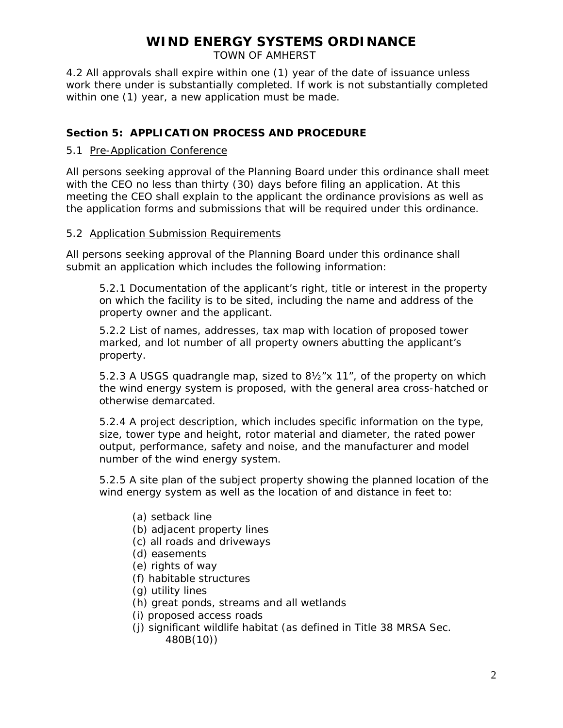TOWN OF AMHERST

4.2 All approvals shall expire within one (1) year of the date of issuance unless work there under is substantially completed. If work is not substantially completed within one (1) year, a new application must be made.

#### **Section 5: APPLICATION PROCESS AND PROCEDURE**

#### 5.1 Pre-Application Conference

All persons seeking approval of the Planning Board under this ordinance shall meet with the CEO no less than thirty (30) days before filing an application. At this meeting the CEO shall explain to the applicant the ordinance provisions as well as the application forms and submissions that will be required under this ordinance.

#### 5.2 Application Submission Requirements

All persons seeking approval of the Planning Board under this ordinance shall submit an application which includes the following information:

5.2.1 Documentation of the applicant's right, title or interest in the property on which the facility is to be sited, including the name and address of the property owner and the applicant.

 5.2.2 List of names, addresses, tax map with location of proposed tower marked, and lot number of all property owners abutting the applicant's property.

5.2.3 A USGS quadrangle map, sized to 8½"x 11", of the property on which the wind energy system is proposed, with the general area cross-hatched or otherwise demarcated.

5.2.4 A project description, which includes specific information on the type, size, tower type and height, rotor material and diameter, the rated power output, performance, safety and noise, and the manufacturer and model number of the wind energy system.

5.2.5 A site plan of the subject property showing the planned location of the wind energy system as well as the location of and distance in feet to:

- (a) setback line
- (b) adjacent property lines
- (c) all roads and driveways
- (d) easements
- (e) rights of way
- (f) habitable structures
- (g) utility lines
- (h) great ponds, streams and all wetlands
- (i) proposed access roads
- (j) significant wildlife habitat (as defined in Title 38 MRSA Sec. 480B(10))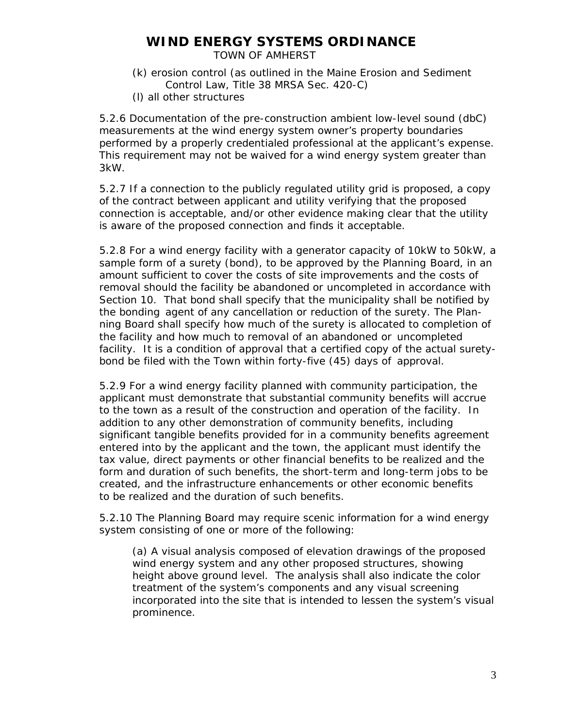TOWN OF AMHERST

- (k) erosion control (as outlined in the Maine Erosion and Sediment Control Law, Title 38 MRSA Sec. 420-C)
- (l) all other structures

5.2.6 Documentation of the pre-construction ambient low-level sound (dbC) measurements at the wind energy system owner's property boundaries performed by a properly credentialed professional at the applicant's expense. This requirement may not be waived for a wind energy system greater than 3kW.

5.2.7 If a connection to the publicly regulated utility grid is proposed, a copy of the contract between applicant and utility verifying that the proposed connection is acceptable, and/or other evidence making clear that the utility is aware of the proposed connection and finds it acceptable.

5.2.8 For a wind energy facility with a generator capacity of 10kW to 50kW, a sample form of a surety (bond), to be approved by the Planning Board, in an amount sufficient to cover the costs of site improvements and the costs of removal should the facility be abandoned or uncompleted in accordance with Section 10. That bond shall specify that the municipality shall be notified by the bonding agent of any cancellation or reduction of the surety. The Planning Board shall specify how much of the surety is allocated to completion of the facility and how much to removal of an abandoned or uncompleted facility. It is a condition of approval that a certified copy of the actual suretybond be filed with the Town within forty-five (45) days of approval.

5.2.9 For a wind energy facility planned with community participation, the applicant must demonstrate that substantial community benefits will accrue to the town as a result of the construction and operation of the facility. In addition to any other demonstration of community benefits, including significant tangible benefits provided for in a community benefits agreement entered into by the applicant and the town, the applicant must identify the tax value, direct payments or other financial benefits to be realized and the form and duration of such benefits, the short-term and long-term jobs to be created, and the infrastructure enhancements or other economic benefits to be realized and the duration of such benefits.

5.2.10 The Planning Board may require scenic information for a wind energy system consisting of one or more of the following:

(a) A visual analysis composed of elevation drawings of the proposed wind energy system and any other proposed structures, showing height above ground level. The analysis shall also indicate the color treatment of the system's components and any visual screening incorporated into the site that is intended to lessen the system's visual prominence.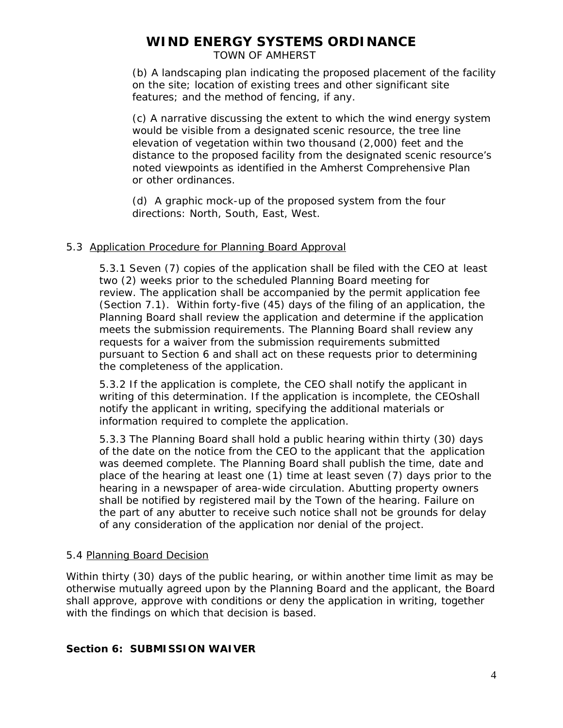TOWN OF AMHERST

(b) A landscaping plan indicating the proposed placement of the facility on the site; location of existing trees and other significant site features; and the method of fencing, if any.

(c) A narrative discussing the extent to which the wind energy system would be visible from a designated scenic resource, the tree line elevation of vegetation within two thousand (2,000) feet and the distance to the proposed facility from the designated scenic resource's noted viewpoints as identified in the Amherst Comprehensive Plan or other ordinances.

(d) A graphic mock-up of the proposed system from the four directions: North, South, East, West.

### 5.3 Application Procedure for Planning Board Approval

 5.3.1 Seven (7) copies of the application shall be filed with the CEO at least two (2) weeks prior to the scheduled Planning Board meeting for review. The application shall be accompanied by the permit application fee (Section 7.1). Within forty-five (45) days of the filing of an application, the Planning Board shall review the application and determine if the application meets the submission requirements. The Planning Board shall review any requests for a waiver from the submission requirements submitted pursuant to Section 6 and shall act on these requests prior to determining the completeness of the application.

5.3.2 If the application is complete, the CEO shall notify the applicant in writing of this determination. If the application is incomplete, the CEOshall notify the applicant in writing, specifying the additional materials or information required to complete the application.

 5.3.3 The Planning Board shall hold a public hearing within thirty (30) days of the date on the notice from the CEO to the applicant that the application was deemed complete. The Planning Board shall publish the time, date and place of the hearing at least one (1) time at least seven (7) days prior to the hearing in a newspaper of area-wide circulation. Abutting property owners shall be notified by registered mail by the Town of the hearing. Failure on the part of any abutter to receive such notice shall not be grounds for delay of any consideration of the application nor denial of the project.

### 5.4 Planning Board Decision

Within thirty (30) days of the public hearing, or within another time limit as may be otherwise mutually agreed upon by the Planning Board and the applicant, the Board shall approve, approve with conditions or deny the application in writing, together with the findings on which that decision is based.

### **Section 6: SUBMISSION WAIVER**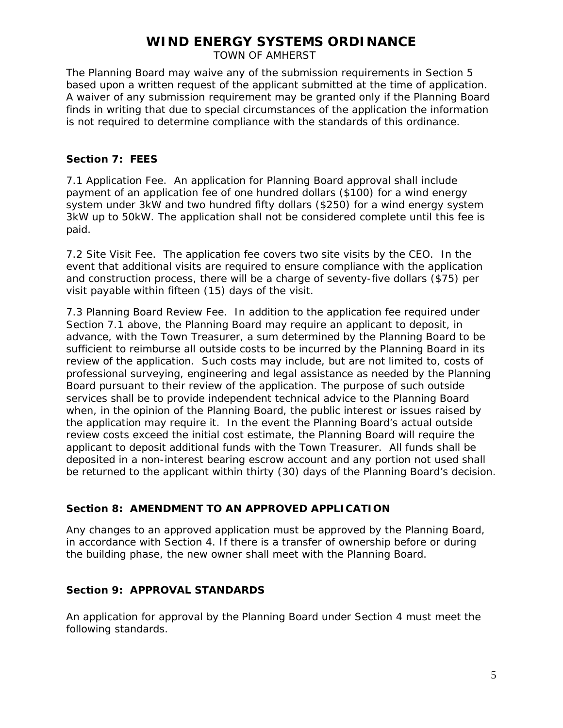TOWN OF AMHERST

The Planning Board may waive any of the submission requirements in Section 5 based upon a written request of the applicant submitted at the time of application. A waiver of any submission requirement may be granted only if the Planning Board finds in writing that due to special circumstances of the application the information is not required to determine compliance with the standards of this ordinance.

#### **Section 7: FEES**

7.1 Application Fee. An application for Planning Board approval shall include payment of an application fee of one hundred dollars (\$100) for a wind energy system under 3kW and two hundred fifty dollars (\$250) for a wind energy system 3kW up to 50kW. The application shall not be considered complete until this fee is paid.

7.2 Site Visit Fee. The application fee covers two site visits by the CEO. In the event that additional visits are required to ensure compliance with the application and construction process, there will be a charge of seventy-five dollars (\$75) per visit payable within fifteen (15) days of the visit.

7.3 Planning Board Review Fee. In addition to the application fee required under Section 7.1 above, the Planning Board may require an applicant to deposit, in advance, with the Town Treasurer, a sum determined by the Planning Board to be sufficient to reimburse all outside costs to be incurred by the Planning Board in its review of the application. Such costs may include, but are not limited to, costs of professional surveying, engineering and legal assistance as needed by the Planning Board pursuant to their review of the application. The purpose of such outside services shall be to provide independent technical advice to the Planning Board when, in the opinion of the Planning Board, the public interest or issues raised by the application may require it. In the event the Planning Board's actual outside review costs exceed the initial cost estimate, the Planning Board will require the applicant to deposit additional funds with the Town Treasurer. All funds shall be deposited in a non-interest bearing escrow account and any portion not used shall be returned to the applicant within thirty (30) days of the Planning Board's decision.

### **Section 8: AMENDMENT TO AN APPROVED APPLICATION**

Any changes to an approved application must be approved by the Planning Board, in accordance with Section 4. If there is a transfer of ownership before or during the building phase, the new owner shall meet with the Planning Board.

### **Section 9: APPROVAL STANDARDS**

An application for approval by the Planning Board under Section 4 must meet the following standards.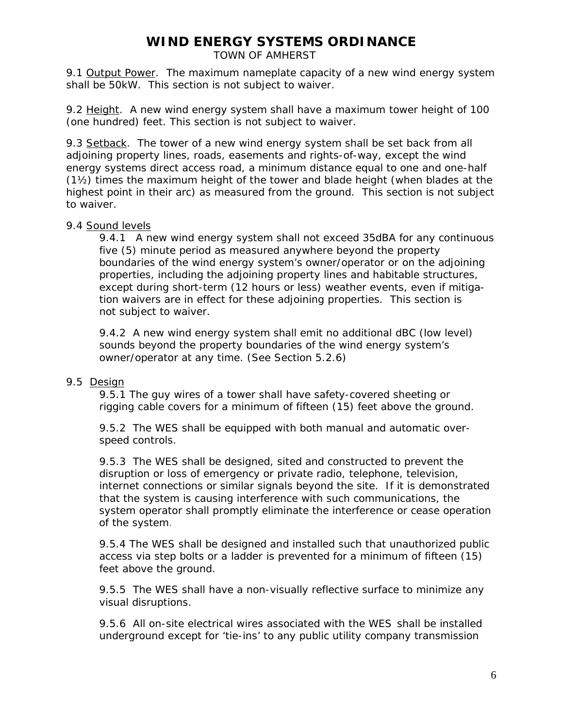TOWN OF AMHERST

9.1 Output Power. The maximum nameplate capacity of a new wind energy system shall be 50kW. This section is not subject to waiver.

9.2 Height. A new wind energy system shall have a maximum tower height of 100 (one hundred) feet. This section is not subject to waiver.

9.3 Setback. The tower of a new wind energy system shall be set back from all adjoining property lines, roads, easements and rights-of-way, except the wind energy systems direct access road, a minimum distance equal to one and one-half (1½) times the maximum height of the tower and blade height (when blades at the highest point in their arc) as measured from the ground. This section is not subject to waiver.

#### 9.4 Sound levels

9.4.1 A new wind energy system shall not exceed 35dBA for any continuous five (5) minute period as measured anywhere beyond the property boundaries of the wind energy system's owner/operator or on the adjoining properties, including the adjoining property lines and habitable structures, except during short-term (12 hours or less) weather events, even if mitigation waivers are in effect for these adjoining properties. This section is not subject to waiver.

9.4.2 A new wind energy system shall emit no additional dBC (low level) sounds beyond the property boundaries of the wind energy system's owner/operator at any time. (See Section 5.2.6)

#### 9.5 Design

9.5.1 The guy wires of a tower shall have safety-covered sheeting or rigging cable covers for a minimum of fifteen (15) feet above the ground.

9.5.2 The WES shall be equipped with both manual and automatic overspeed controls.

9.5.3 The WES shall be designed, sited and constructed to prevent the disruption or loss of emergency or private radio, telephone, television, internet connections or similar signals beyond the site. If it is demonstrated that the system is causing interference with such communications, the system operator shall promptly eliminate the interference or cease operation of the system.

9.5.4 The WES shall be designed and installed such that unauthorized public access via step bolts or a ladder is prevented for a minimum of fifteen (15) feet above the ground.

9.5.5 The WES shall have a non-visually reflective surface to minimize any visual disruptions.

9.5.6 All on-site electrical wires associated with the WES shall be installed underground except for 'tie-ins' to any public utility company transmission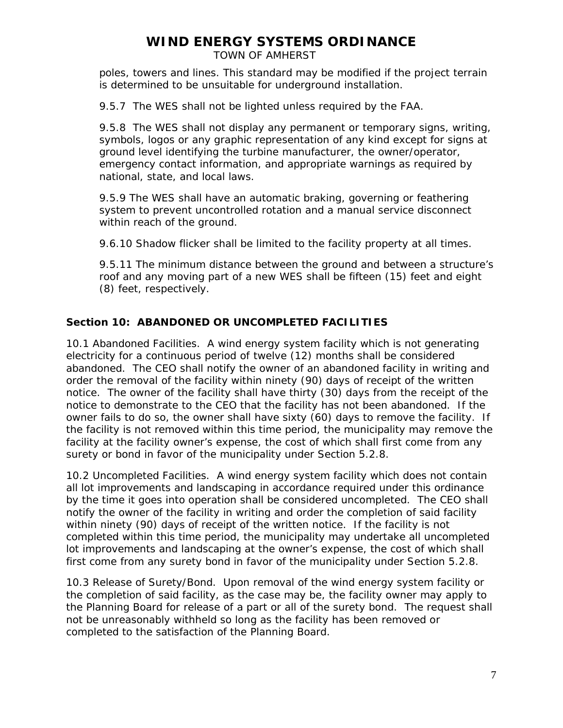TOWN OF AMHERST

poles, towers and lines. This standard may be modified if the project terrain is determined to be unsuitable for underground installation.

9.5.7 The WES shall not be lighted unless required by the FAA.

9.5.8 The WES shall not display any permanent or temporary signs, writing, symbols, logos or any graphic representation of any kind except for signs at ground level identifying the turbine manufacturer, the owner/operator, emergency contact information, and appropriate warnings as required by national, state, and local laws.

9.5.9 The WES shall have an automatic braking, governing or feathering system to prevent uncontrolled rotation and a manual service disconnect within reach of the ground.

9.6.10 Shadow flicker shall be limited to the facility property at all times.

9.5.11 The minimum distance between the ground and between a structure's roof and any moving part of a new WES shall be fifteen (15) feet and eight (8) feet, respectively.

### **Section 10: ABANDONED OR UNCOMPLETED FACILITIES**

10.1 Abandoned Facilities. A wind energy system facility which is not generating electricity for a continuous period of twelve (12) months shall be considered abandoned. The CEO shall notify the owner of an abandoned facility in writing and order the removal of the facility within ninety (90) days of receipt of the written notice. The owner of the facility shall have thirty (30) days from the receipt of the notice to demonstrate to the CEO that the facility has not been abandoned. If the owner fails to do so, the owner shall have sixty (60) days to remove the facility. If the facility is not removed within this time period, the municipality may remove the facility at the facility owner's expense, the cost of which shall first come from any surety or bond in favor of the municipality under Section 5.2.8.

10.2 Uncompleted Facilities. A wind energy system facility which does not contain all lot improvements and landscaping in accordance required under this ordinance by the time it goes into operation shall be considered uncompleted. The CEO shall notify the owner of the facility in writing and order the completion of said facility within ninety (90) days of receipt of the written notice. If the facility is not completed within this time period, the municipality may undertake all uncompleted lot improvements and landscaping at the owner's expense, the cost of which shall first come from any surety bond in favor of the municipality under Section 5.2.8.

10.3 Release of Surety/Bond. Upon removal of the wind energy system facility or the completion of said facility, as the case may be, the facility owner may apply to the Planning Board for release of a part or all of the surety bond. The request shall not be unreasonably withheld so long as the facility has been removed or completed to the satisfaction of the Planning Board.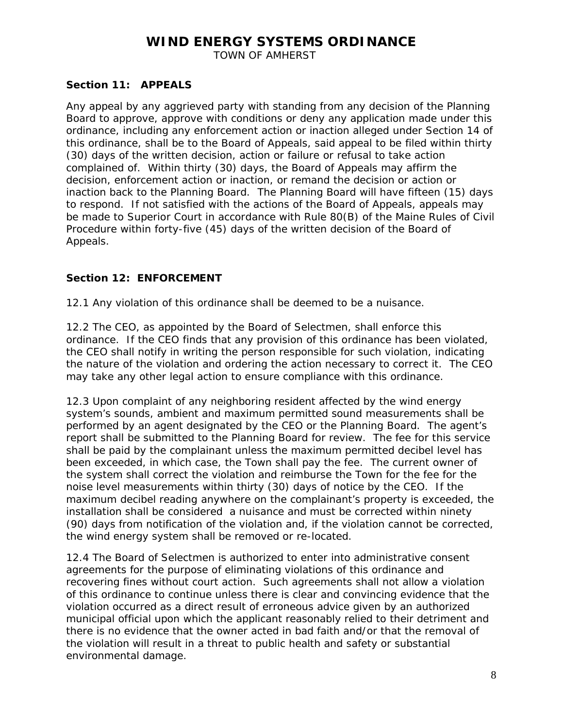TOWN OF AMHERST

### **Section 11: APPEALS**

Any appeal by any aggrieved party with standing from any decision of the Planning Board to approve, approve with conditions or deny any application made under this ordinance, including any enforcement action or inaction alleged under Section 14 of this ordinance, shall be to the Board of Appeals, said appeal to be filed within thirty (30) days of the written decision, action or failure or refusal to take action complained of. Within thirty (30) days, the Board of Appeals may affirm the decision, enforcement action or inaction, or remand the decision or action or inaction back to the Planning Board. The Planning Board will have fifteen (15) days to respond. If not satisfied with the actions of the Board of Appeals, appeals may be made to Superior Court in accordance with Rule 80(B) of the Maine Rules of Civil Procedure within forty-five (45) days of the written decision of the Board of Appeals.

#### **Section 12: ENFORCEMENT**

12.1 Any violation of this ordinance shall be deemed to be a nuisance.

12.2 The CEO, as appointed by the Board of Selectmen, shall enforce this ordinance. If the CEO finds that any provision of this ordinance has been violated, the CEO shall notify in writing the person responsible for such violation, indicating the nature of the violation and ordering the action necessary to correct it. The CEO may take any other legal action to ensure compliance with this ordinance.

12.3 Upon complaint of any neighboring resident affected by the wind energy system's sounds, ambient and maximum permitted sound measurements shall be performed by an agent designated by the CEO or the Planning Board. The agent's report shall be submitted to the Planning Board for review. The fee for this service shall be paid by the complainant unless the maximum permitted decibel level has been exceeded, in which case, the Town shall pay the fee. The current owner of the system shall correct the violation and reimburse the Town for the fee for the noise level measurements within thirty (30) days of notice by the CEO. If the maximum decibel reading anywhere on the complainant's property is exceeded, the installation shall be considered a nuisance and must be corrected within ninety (90) days from notification of the violation and, if the violation cannot be corrected, the wind energy system shall be removed or re-located.

12.4 The Board of Selectmen is authorized to enter into administrative consent agreements for the purpose of eliminating violations of this ordinance and recovering fines without court action. Such agreements shall not allow a violation of this ordinance to continue unless there is clear and convincing evidence that the violation occurred as a direct result of erroneous advice given by an authorized municipal official upon which the applicant reasonably relied to their detriment and there is no evidence that the owner acted in bad faith and/or that the removal of the violation will result in a threat to public health and safety or substantial environmental damage.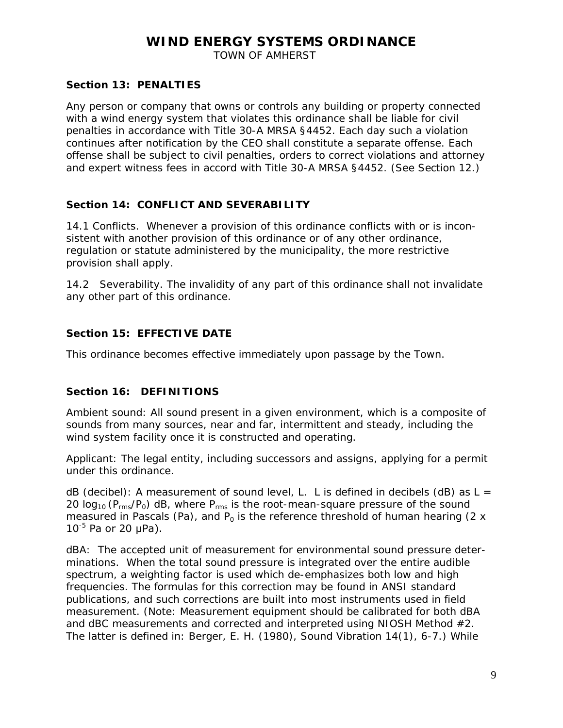TOWN OF AMHERST

### **Section 13: PENALTIES**

Any person or company that owns or controls any building or property connected with a wind energy system that violates this ordinance shall be liable for civil penalties in accordance with Title 30-A MRSA §4452. Each day such a violation continues after notification by the CEO shall constitute a separate offense. Each offense shall be subject to civil penalties, orders to correct violations and attorney and expert witness fees in accord with Title 30-A MRSA §4452. (See Section 12.)

### **Section 14: CONFLICT AND SEVERABILITY**

14.1 Conflicts. Whenever a provision of this ordinance conflicts with or is inconsistent with another provision of this ordinance or of any other ordinance, regulation or statute administered by the municipality, the more restrictive provision shall apply.

14.2 Severability. The invalidity of any part of this ordinance shall not invalidate any other part of this ordinance.

### **Section 15: EFFECTIVE DATE**

This ordinance becomes effective immediately upon passage by the Town.

### **Section 16: DEFINITIONS**

Ambient sound: All sound present in a given environment, which is a composite of sounds from many sources, near and far, intermittent and steady, including the wind system facility once it is constructed and operating.

Applicant: The legal entity, including successors and assigns, applying for a permit under this ordinance.

dB (decibel): A measurement of sound level, L. L is defined in decibels (dB) as  $L =$ 20  $log_{10}$  (P<sub>rms</sub>/P<sub>0</sub>) dB, where P<sub>rms</sub> is the root-mean-square pressure of the sound measured in Pascals (Pa), and  $P_0$  is the reference threshold of human hearing (2 x  $10^{-5}$  Pa or 20  $\mu$ Pa).

dBA: The accepted unit of measurement for environmental sound pressure determinations. When the total sound pressure is integrated over the entire audible spectrum, a weighting factor is used which de-emphasizes both low and high frequencies. The formulas for this correction may be found in ANSI standard publications, and such corrections are built into most instruments used in field measurement. (Note: Measurement equipment should be calibrated for both dBA and dBC measurements and corrected and interpreted using NIOSH Method #2. The latter is defined in: Berger, E. H. (1980), *Sound Vibration* 14(1), 6-7.) While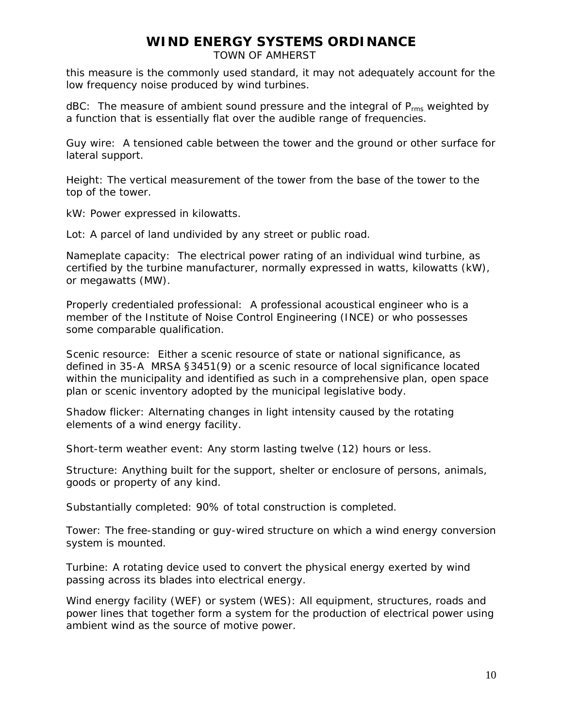TOWN OF AMHERST

this measure is the commonly used standard, it may not adequately account for the low frequency noise produced by wind turbines.

 $dBC:$  The measure of ambient sound pressure and the integral of  $P_{rms}$  weighted by a function that is essentially flat over the audible range of frequencies.

Guy wire: A tensioned cable between the tower and the ground or other surface for lateral support.

Height: The vertical measurement of the tower from the base of the tower to the top of the tower.

kW: Power expressed in kilowatts.

Lot: A parcel of land undivided by any street or public road.

Nameplate capacity: The electrical power rating of an individual wind turbine, as certified by the turbine manufacturer, normally expressed in watts, kilowatts (kW), or megawatts (MW).

Properly credentialed professional: A professional acoustical engineer who is a member of the Institute of Noise Control Engineering (INCE) or who possesses some comparable qualification.

Scenic resource: Either a scenic resource of state or national significance, as defined in 35-A MRSA §3451(9) or a scenic resource of local significance located within the municipality and identified as such in a comprehensive plan, open space plan or scenic inventory adopted by the municipal legislative body.

Shadow flicker: Alternating changes in light intensity caused by the rotating elements of a wind energy facility.

Short-term weather event: Any storm lasting twelve (12) hours or less.

Structure: Anything built for the support, shelter or enclosure of persons, animals, goods or property of any kind.

Substantially completed: 90% of total construction is completed.

Tower: The free-standing or guy-wired structure on which a wind energy conversion system is mounted.

Turbine: A rotating device used to convert the physical energy exerted by wind passing across its blades into electrical energy.

Wind energy facility (WEF) or system (WES): All equipment, structures, roads and power lines that together form a system for the production of electrical power using ambient wind as the source of motive power.